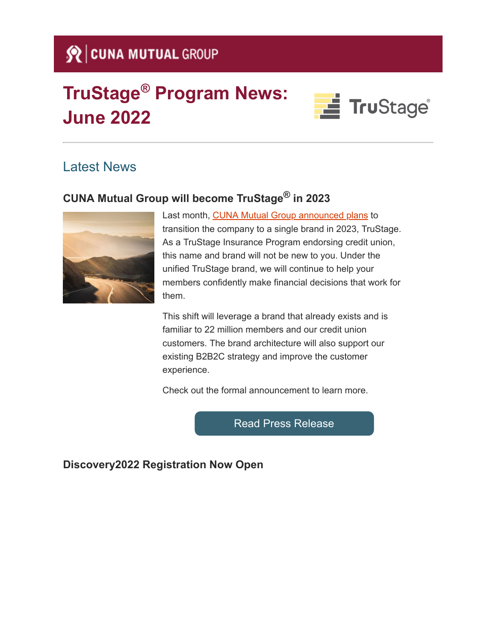## Se CUNA MUTUAL GROUP

# **TruStage® Program News: June 2022**



### Latest News

## **CUNA Mutual Group will become TruStage® in 2023**



Last month, [CUNA Mutual Group announced plans](https://click.cunamutual-email.com/?qs=2babac3536744274f571bd81c573acf9d320ac51f064ac51608c3bcdc434c44ec274864810aaca4405382d04b3301ab16279f3ba0cc9d2fd8ea9d9f89cebca91) to transition the company to a single brand in 2023, TruStage. As a TruStage Insurance Program endorsing credit union, this name and brand will not be new to you. Under the unified TruStage brand, we will continue to help your members confidently make financial decisions that work for them.

This shift will leverage a brand that already exists and is familiar to 22 million members and our credit union customers. The brand architecture will also support our existing B2B2C strategy and improve the customer experience.

Check out the formal announcement to learn more.

[Read Press Release](https://click.cunamutual-email.com/?qs=2babac35367442742c82d9dd974557c8a8862cf262d5c19dd3127011fd6f1a8a70bbb1801f361c596fff14bd13c46a764e96948f7e89d4716a26c09f94cfe89a)

**Discovery2022 Registration Now Open**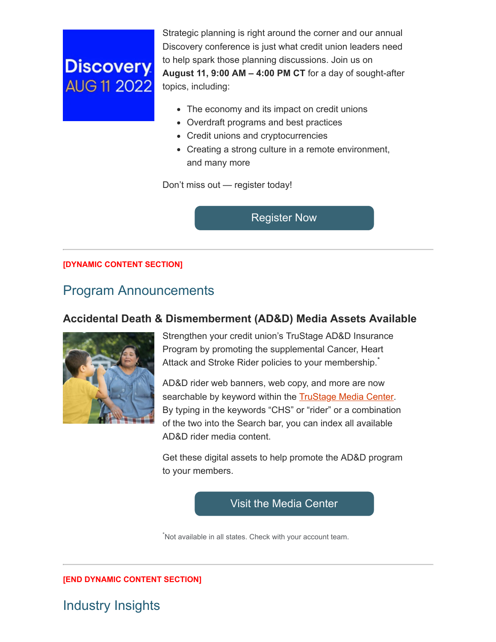## **Discovery AUG 11 2022**

Strategic planning is right around the corner and our annual Discovery conference is just what credit union leaders need to help spark those planning discussions. Join us on **August 11, 9:00 AM – 4:00 PM CT** for a day of sought-after topics, including:

- The economy and its impact on credit unions
- Overdraft programs and best practices
- Credit unions and cryptocurrencies
- Creating a strong culture in a remote environment, and many more

Don't miss out — register today!

[Register Now](https://click.cunamutual-email.com/?qs=2babac353674427442f973c5d7cea1c63d7827b228f452bc29129a06d597233b2b75f55acd840429db60299f908fcfb76df0949117c9bde13f329c0dff4dbb8c)

#### **[DYNAMIC CONTENT SECTION]**

### Program Announcements

#### **Accidental Death & Dismemberment (AD&D) Media Assets Available**



Strengthen your credit union's TruStage AD&D Insurance Program by promoting the supplemental Cancer, Heart Attack and Stroke Rider policies to your membership.

AD&D rider web banners, web copy, and more are now searchable by keyword within the **[TruStage Media Center](https://click.cunamutual-email.com/?qs=2babac353674427409a9001000255a7443056dbafab810c74f241f25dd80054c8de776fad1687e397fb148f1efa3a56623ede7fcf0e635ab12136f0a3924eaea)**. By typing in the keywords "CHS" or "rider" or a combination of the two into the Search bar, you can index all available AD&D rider media content.

Get these digital assets to help promote the AD&D program to your members.

[Visit the Media Center](https://click.cunamutual-email.com/?qs=2babac353674427415313464bb07aab93c1e69904d19f779655939cd1759a36e59c49f289c738084c69e12cc60df7502d9dd28f0b58dfee1c79149be47e9b6b2)

\*Not available in all states. Check with your account team.

**[END DYNAMIC CONTENT SECTION]**

## Industry Insights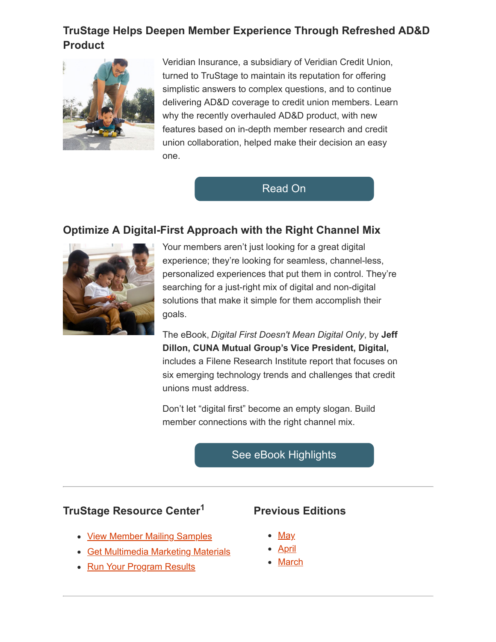### **TruStage Helps Deepen Member Experience Through Refreshed AD&D Product**



Veridian Insurance, a subsidiary of Veridian Credit Union, turned to TruStage to maintain its reputation for offering simplistic answers to complex questions, and to continue delivering AD&D coverage to credit union members. Learn why the recently overhauled AD&D product, with new features based on in-depth member research and credit union collaboration, helped make their decision an easy one.

[Read On](https://click.cunamutual-email.com/?qs=2babac35367442741f062bd965c5b43aed2a348591e01eb250baabae0be80fa4377f2b93cdb2d54504c9232e029c652dd09f9dd88abe36ae1cfe976022d73863)

#### **Optimize A Digital-First Approach with the Right Channel Mix**



Your members aren't just looking for a great digital experience; they're looking for seamless, channel-less, personalized experiences that put them in control. They're searching for a just-right mix of digital and non-digital solutions that make it simple for them accomplish their goals.

The eBook, *Digital First Doesn't Mean Digital Only*, by **Jeff Dillon, CUNA Mutual Group's Vice President, Digital,** includes a Filene Research Institute report that focuses on six emerging technology trends and challenges that credit unions must address.

Don't let "digital first" become an empty slogan. Build member connections with the right channel mix.

#### [See eBook Highlights](https://click.cunamutual-email.com/?qs=2babac3536744274b8927c25835377887396cd8cca96af27978e3a4ba4bd4cc35b55af13f36e8bbb7813d08261df5c01f16c91f54456fd3b0823a769e9ed400a)

#### **TruStage Resource Center<sup>1</sup>**

- [View Member Mailing](https://click.cunamutual-email.com/?qs=2babac3536744274b590cc884a5b94bba4458ea7471807df4c77a0923efa6fea21d9e5b8c6e43c95575de642e63cda39e87dd420e77d833091beb3b12331c4a4) Samples
- [Get Multimedia Marketing](https://click.cunamutual-email.com/?qs=2babac3536744274d3ebea20bc8ff8fc903d1fa540c9da8d68cde9cf499c310871d07d2bc24f666f97ab766d71c67740f0b39a50782f0dd7ed262188ff02994d) Materials
- [Run Your Program](https://click.cunamutual-email.com/?qs=2babac3536744274c58c0eff4f97a1b1a3ae24b303f4c4827d71e47adf223b6383ad184e02850900361edfd4bb4c384316268876c4cc2327f407207f07a02035) Results

#### **Previous Editions**

- <u>[May](https://click.cunamutual-email.com/?qs=2babac3536744274724791474d1587a7beb80bb8a29ccc27cda0c1aa666f924d687410fc6a12b7a093c0d79f8f3f205552653e1cde880c68246d03b9acc5fb19)</u>
- <u>[April](https://click.cunamutual-email.com/?qs=2babac35367442747554b2cf30364ea02acc1bae1f3448df2e1139ad3e71d94b435c48e9ca21a9894eb6d183d5d5cc84ecb638b9b69bc6b60cb1e2ff14975ce5)</u>
- [March](https://click.cunamutual-email.com/?qs=2babac3536744274bbd77d59cba5e5b4dd79bc985690c2a9c86f0af99ce737fd0c9c2a067934d0d0fc3841e3dc41f340f2e2c6253c70c74665a6b1b32bc5f995)